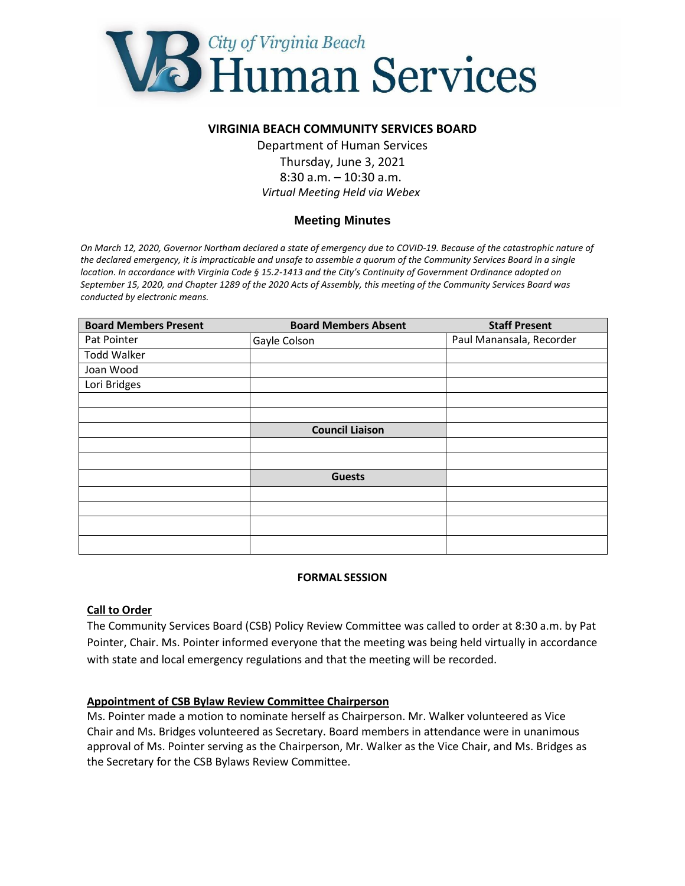

## **VIRGINIA BEACH COMMUNITY SERVICES BOARD**

Department of Human Services Thursday, June 3, 2021 8:30 a.m. – 10:30 a.m. *Virtual Meeting Held via Webex*

# **Meeting Minutes**

*On March 12, 2020, Governor Northam declared a state of emergency due to COVID-19. Because of the catastrophic nature of the declared emergency, it is impracticable and unsafe to assemble a quorum of the Community Services Board in a single location. In accordance with Virginia Code § 15.2-1413 and the City's Continuity of Government Ordinance adopted on September 15, 2020, and Chapter 1289 of the 2020 Acts of Assembly, this meeting of the Community Services Board was conducted by electronic means.*

| <b>Board Members Present</b> | <b>Board Members Absent</b> | <b>Staff Present</b>     |
|------------------------------|-----------------------------|--------------------------|
| Pat Pointer                  | Gayle Colson                | Paul Manansala, Recorder |
| <b>Todd Walker</b>           |                             |                          |
| Joan Wood                    |                             |                          |
| Lori Bridges                 |                             |                          |
|                              |                             |                          |
|                              |                             |                          |
|                              | <b>Council Liaison</b>      |                          |
|                              |                             |                          |
|                              |                             |                          |
|                              | <b>Guests</b>               |                          |
|                              |                             |                          |
|                              |                             |                          |
|                              |                             |                          |
|                              |                             |                          |

#### **FORMAL SESSION**

#### **Call to Order**

The Community Services Board (CSB) Policy Review Committee was called to order at 8:30 a.m. by Pat Pointer, Chair. Ms. Pointer informed everyone that the meeting was being held virtually in accordance with state and local emergency regulations and that the meeting will be recorded.

#### **Appointment of CSB Bylaw Review Committee Chairperson**

Ms. Pointer made a motion to nominate herself as Chairperson. Mr. Walker volunteered as Vice Chair and Ms. Bridges volunteered as Secretary. Board members in attendance were in unanimous approval of Ms. Pointer serving as the Chairperson, Mr. Walker as the Vice Chair, and Ms. Bridges as the Secretary for the CSB Bylaws Review Committee.